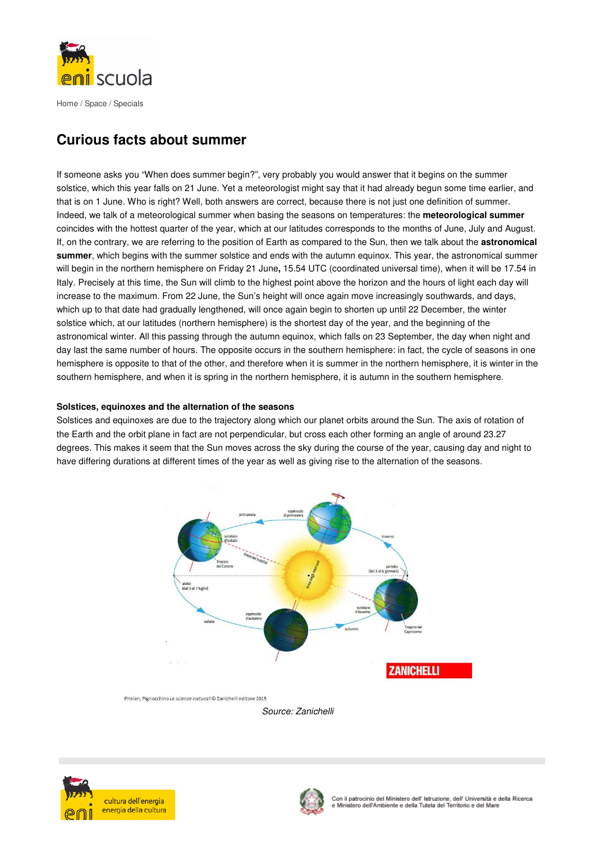

Home / Space / Specials

# **Curious facts about summer**

If someone asks you "When does summer begin?", very probably you would answer that it begins on the summer solstice, which this year falls on 21 June. Yet a meteorologist might say that it had already begun some time earlier, and that is on 1 June. Who is right? Well, both answers are correct, because there is not just one definition of summer. Indeed, we talk of a meteorological summer when basing the seasons on temperatures: the **meteorological summer** coincides with the hottest quarter of the year, which at our latitudes corresponds to the months of June, July and August. If, on the contrary, we are referring to the position of Earth as compared to the Sun, then we talk about the **astronomical summer**, which begins with the summer solstice and ends with the autumn equinox. This year, the astronomical summer will begin in the northern hemisphere on Friday 21 June**,** 15.54 UTC (coordinated universal time), when it will be 17.54 in Italy. Precisely at this time, the Sun will climb to the highest point above the horizon and the hours of light each day will increase to the maximum. From 22 June, the Sun's height will once again move increasingly southwards, and days, which up to that date had gradually lengthened, will once again begin to shorten up until 22 December, the winter solstice which, at our latitudes (northern hemisphere) is the shortest day of the year, and the beginning of the astronomical winter. All this passing through the autumn equinox, which falls on 23 September, the day when night and day last the same number of hours. The opposite occurs in the southern hemisphere: in fact, the cycle of seasons in one hemisphere is opposite to that of the other, and therefore when it is summer in the northern hemisphere, it is winter in the southern hemisphere, and when it is spring in the northern hemisphere, it is autumn in the southern hemisphere.

# **Solstices, equinoxes and the alternation of the seasons**

Solstices and equinoxes are due to the trajectory along which our planet orbits around the Sun. The axis of rotation of the Earth and the orbit plane in fact are not perpendicular, but cross each other forming an angle of around 23.27 degrees. This makes it seem that the Sun moves across the sky during the course of the year, causing day and night to have differing durations at different times of the year as well as giving rise to the alternation of the seasons.







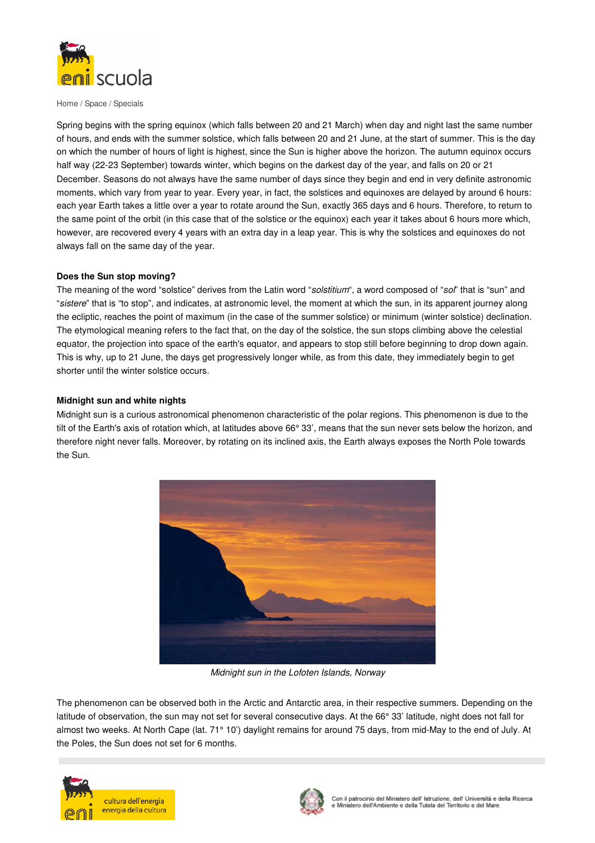

Home / Space / Specials

Spring begins with the spring equinox (which falls between 20 and 21 March) when day and night last the same number of hours, and ends with the summer solstice, which falls between 20 and 21 June, at the start of summer. This is the day on which the number of hours of light is highest, since the Sun is higher above the horizon. The autumn equinox occurs half way (22-23 September) towards winter, which begins on the darkest day of the year, and falls on 20 or 21 December. Seasons do not always have the same number of days since they begin and end in very definite astronomic moments, which vary from year to year. Every year, in fact, the solstices and equinoxes are delayed by around 6 hours: each year Earth takes a little over a year to rotate around the Sun, exactly 365 days and 6 hours. Therefore, to return to the same point of the orbit (in this case that of the solstice or the equinox) each year it takes about 6 hours more which, however, are recovered every 4 years with an extra day in a leap year. This is why the solstices and equinoxes do not always fall on the same day of the year.

#### **Does the Sun stop moving?**

The meaning of the word "solstice" derives from the Latin word "solstitium", a word composed of "sol" that is "sun" and "sistere" that is "to stop", and indicates, at astronomic level, the moment at which the sun, in its apparent journey along the ecliptic, reaches the point of maximum (in the case of the summer solstice) or minimum (winter solstice) declination. The etymological meaning refers to the fact that, on the day of the solstice, the sun stops climbing above the celestial equator, the projection into space of the earth's equator, and appears to stop still before beginning to drop down again. This is why, up to 21 June, the days get progressively longer while, as from this date, they immediately begin to get shorter until the winter solstice occurs.

## **Midnight sun and white nights**

Midnight sun is a curious astronomical phenomenon characteristic of the polar regions. This phenomenon is due to the tilt of the Earth's axis of rotation which, at latitudes above 66° 33', means that the sun never sets below the horizon, and therefore night never falls. Moreover, by rotating on its inclined axis, the Earth always exposes the North Pole towards the Sun.



Midnight sun in the Lofoten Islands, Norway

The phenomenon can be observed both in the Arctic and Antarctic area, in their respective summers. Depending on the latitude of observation, the sun may not set for several consecutive days. At the 66° 33' latitude, night does not fall for almost two weeks. At North Cape (lat. 71° 10') daylight remains for around 75 days, from mid-May to the end of July. At the Poles, the Sun does not set for 6 months.